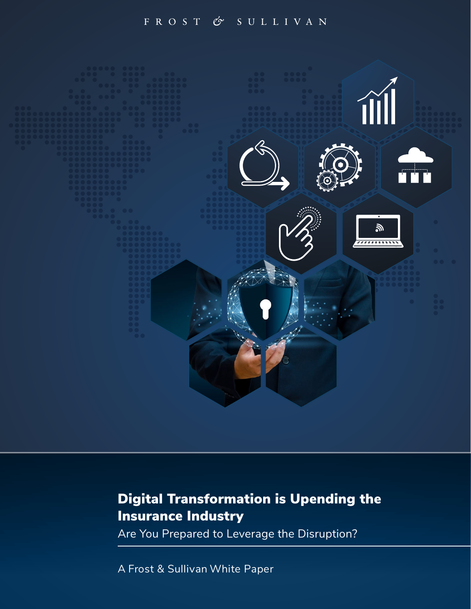### FROST & SULLIVAN



# Digital Transformation is Upending the Insurance Industry

Are You Prepared to Leverage the Disruption?

A Frost & Sullivan White Paper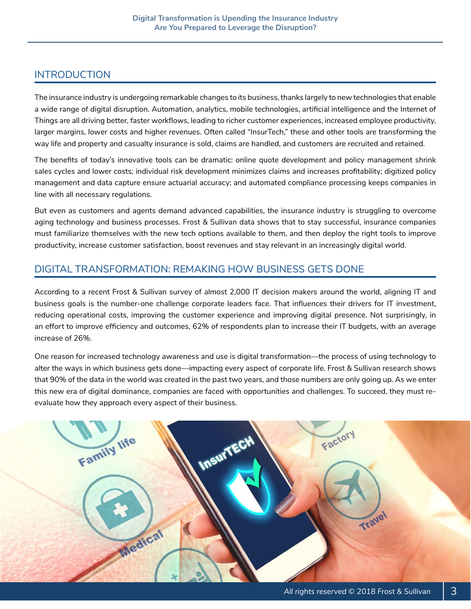# <span id="page-2-0"></span>INTRODUCTION

The insurance industry is undergoing remarkable changes to its business, thanks largely to new technologies that enable a wide range of digital disruption. Automation, analytics, mobile technologies, artificial intelligence and the Internet of Things are all driving better, faster workflows, leading to richer customer experiences, increased employee productivity, larger margins, lower costs and higher revenues. Often called "InsurTech," these and other tools are transforming the way life and property and casualty insurance is sold, claims are handled, and customers are recruited and retained.

The benefits of today's innovative tools can be dramatic: online quote development and policy management shrink sales cycles and lower costs; individual risk development minimizes claims and increases profitability; digitized policy management and data capture ensure actuarial accuracy; and automated compliance processing keeps companies in line with all necessary regulations.

But even as customers and agents demand advanced capabilities, the insurance industry is struggling to overcome aging technology and business processes. Frost & Sullivan data shows that to stay successful, insurance companies must familiarize themselves with the new tech options available to them, and then deploy the right tools to improve productivity, increase customer satisfaction, boost revenues and stay relevant in an increasingly digital world.

### DIGITAL TRANSFORMATION: REMAKING HOW BUSINESS GETS DONE

According to a recent Frost & Sullivan survey of almost 2,000 IT decision makers around the world, aligning IT and business goals is the number-one challenge corporate leaders face. That influences their drivers for IT investment, reducing operational costs, improving the customer experience and improving digital presence. Not surprisingly, in an effort to improve efficiency and outcomes, 62% of respondents plan to increase their IT budgets, with an average increase of 26%.

One reason for increased technology awareness and use is digital transformation—the process of using technology to alter the ways in which business gets done—impacting every aspect of corporate life. Frost & Sullivan research shows that 90% of the data in the world was created in the past two years, and those numbers are only going up. As we enter this new era of digital dominance, companies are faced with opportunities and challenges. To succeed, they must reevaluate how they approach every aspect of their business.

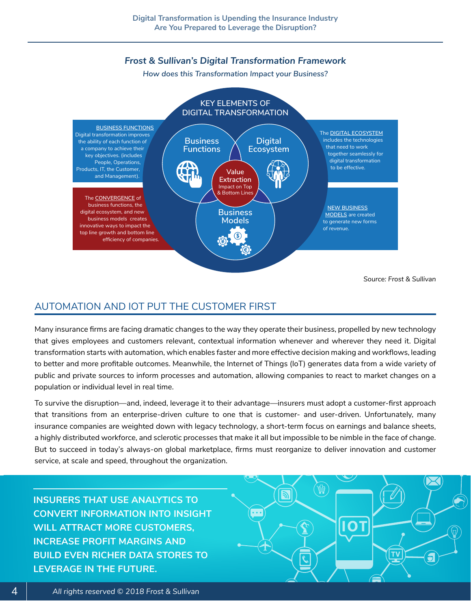### *Frost & Sullivan's Digital Transformation Framework*

*How does this Transformation Impact your Business?*

<span id="page-3-0"></span>

# AUTOMATION AND IOT PUT THE CUSTOMER FIRST

Many insurance firms are facing dramatic changes to the way they operate their business, propelled by new technology that gives employees and customers relevant, contextual information whenever and wherever they need it. Digital transformation starts with automation, which enables faster and more effective decision making and workflows, leading to better and more profitable outcomes. Meanwhile, the Internet of Things (IoT) generates data from a wide variety of public and private sources to inform processes and automation, allowing companies to react to market changes on a population or individual level in real time.

To survive the disruption—and, indeed, leverage it to their advantage—insurers must adopt a customer-first approach that transitions from an enterprise-driven culture to one that is customer- and user-driven. Unfortunately, many insurance companies are weighted down with legacy technology, a short-term focus on earnings and balance sheets, a highly distributed workforce, and sclerotic processes that make it all but impossible to be nimble in the face of change. But to succeed in today's always-on global marketplace, firms must reorganize to deliver innovation and customer service, at scale and speed, throughout the organization.

**INSURERS THAT USE ANALYTICS TO CONVERT INFORMATION INTO INSIGHT WILL ATTRACT MORE CUSTOMERS, INCREASE PROFIT MARGINS AND BUILD EVEN RICHER DATA STORES TO LEVERAGE IN THE FUTURE.**

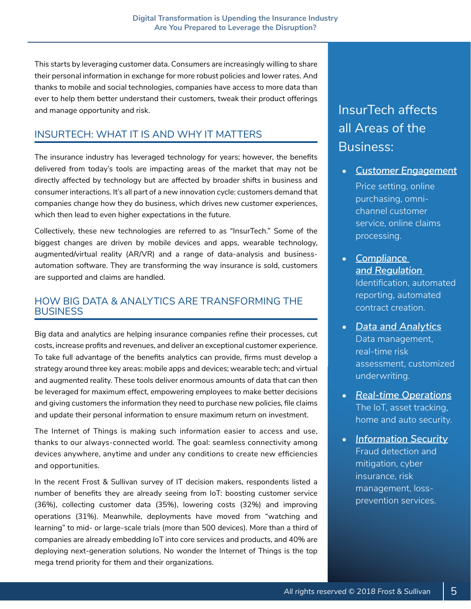<span id="page-4-0"></span>This starts by leveraging customer data. Consumers are increasingly willing to share their personal information in exchange for more robust policies and lower rates. And thanks to mobile and social technologies, companies have access to more data than ever to help them better understand their customers, tweak their product offerings and manage opportunity and risk.

# INSURTECH: WHAT IT IS AND WHY IT MATTERS

The insurance industry has leveraged technology for years; however, the benefits delivered from today's tools are impacting areas of the market that may not be directly affected by technology but are affected by broader shifts in business and consumer interactions. It's all part of a new innovation cycle: customers demand that companies change how they do business, which drives new customer experiences, which then lead to even higher expectations in the future.

Collectively, these new technologies are referred to as "InsurTech." Some of the biggest changes are driven by mobile devices and apps, wearable technology, augmented/virtual reality (AR/VR) and a range of data-analysis and businessautomation software. They are transforming the way insurance is sold, customers are supported and claims are handled.

### HOW BIG DATA & ANALYTICS ARE TRANSFORMING THE **BUSINESS**

Big data and analytics are helping insurance companies refine their processes, cut costs, increase profits and revenues, and deliver an exceptional customer experience. To take full advantage of the benefits analytics can provide, firms must develop a strategy around three key areas: mobile apps and devices; wearable tech; and virtual and augmented reality. These tools deliver enormous amounts of data that can then be leveraged for maximum effect, empowering employees to make better decisions and giving customers the information they need to purchase new policies, file claims and update their personal information to ensure maximum return on investment.

The Internet of Things is making such information easier to access and use, thanks to our always-connected world. The goal: seamless connectivity among devices anywhere, anytime and under any conditions to create new efficiencies and opportunities.

In the recent Frost & Sullivan survey of IT decision makers, respondents listed a number of benefits they are already seeing from IoT: boosting customer service (36%), collecting customer data (35%), lowering costs (32%) and improving operations (31%). Meanwhile, deployments have moved from "watching and learning" to mid- or large-scale trials (more than 500 devices). More than a third of companies are already embedding IoT into core services and products, and 40% are deploying next-generation solutions. No wonder the Internet of Things is the top mega trend priority for them and their organizations.

# InsurTech affects all Areas of the Business:

• *Customer Engagement*

Price setting, online purchasing, omnichannel customer service, online claims processing.

- *Compliance and Regulation*  Identification, automated reporting, automated contract creation.
- *Data and Analytics* Data management, real-time risk assessment, customized underwriting.
- *Real-time Operations* The IoT, asset tracking, home and auto security.
- *Information Security* Fraud detection and mitigation, cyber insurance, risk management, lossprevention services.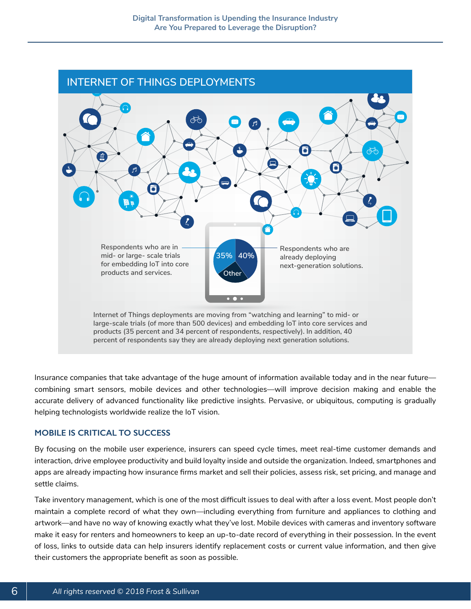<span id="page-5-0"></span>

Insurance companies that take advantage of the huge amount of information available today and in the near future combining smart sensors, mobile devices and other technologies—will improve decision making and enable the accurate delivery of advanced functionality like predictive insights. Pervasive, or ubiquitous, computing is gradually helping technologists worldwide realize the IoT vision.

#### **MOBILE IS CRITICAL TO SUCCESS**

By focusing on the mobile user experience, insurers can speed cycle times, meet real-time customer demands and interaction, drive employee productivity and build loyalty inside and outside the organization. Indeed, smartphones and apps are already impacting how insurance firms market and sell their policies, assess risk, set pricing, and manage and settle claims.

Take inventory management, which is one of the most difficult issues to deal with after a loss event. Most people don't maintain a complete record of what they own—including everything from furniture and appliances to clothing and artwork—and have no way of knowing exactly what they've lost. Mobile devices with cameras and inventory software make it easy for renters and homeowners to keep an up-to-date record of everything in their possession. In the event of loss, links to outside data can help insurers identify replacement costs or current value information, and then give their customers the appropriate benefit as soon as possible.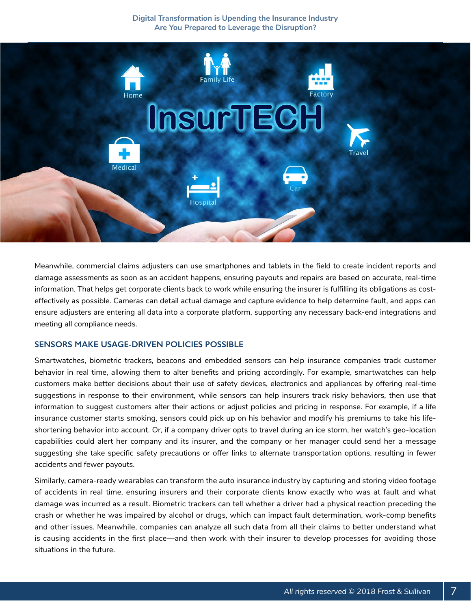#### **Digital Transformation is Upending the Insurance Industry Are You Prepared to Leverage the Disruption?**

<span id="page-6-0"></span>

Meanwhile, commercial claims adjusters can use smartphones and tablets in the field to create incident reports and damage assessments as soon as an accident happens, ensuring payouts and repairs are based on accurate, real-time information. That helps get corporate clients back to work while ensuring the insurer is fulfilling its obligations as costeffectively as possible. Cameras can detail actual damage and capture evidence to help determine fault, and apps can ensure adjusters are entering all data into a corporate platform, supporting any necessary back-end integrations and meeting all compliance needs.

#### **SENSORS MAKE USAGE-DRIVEN POLICIES POSSIBLE**

Smartwatches, biometric trackers, beacons and embedded sensors can help insurance companies track customer behavior in real time, allowing them to alter benefits and pricing accordingly. For example, smartwatches can help customers make better decisions about their use of safety devices, electronics and appliances by offering real-time suggestions in response to their environment, while sensors can help insurers track risky behaviors, then use that information to suggest customers alter their actions or adjust policies and pricing in response. For example, if a life insurance customer starts smoking, sensors could pick up on his behavior and modify his premiums to take his lifeshortening behavior into account. Or, if a company driver opts to travel during an ice storm, her watch's geo-location capabilities could alert her company and its insurer, and the company or her manager could send her a message suggesting she take specific safety precautions or offer links to alternate transportation options, resulting in fewer accidents and fewer payouts.

Similarly, camera-ready wearables can transform the auto insurance industry by capturing and storing video footage of accidents in real time, ensuring insurers and their corporate clients know exactly who was at fault and what damage was incurred as a result. Biometric trackers can tell whether a driver had a physical reaction preceding the crash or whether he was impaired by alcohol or drugs, which can impact fault determination, work-comp benefits and other issues. Meanwhile, companies can analyze all such data from all their claims to better understand what is causing accidents in the first place—and then work with their insurer to develop processes for avoiding those situations in the future.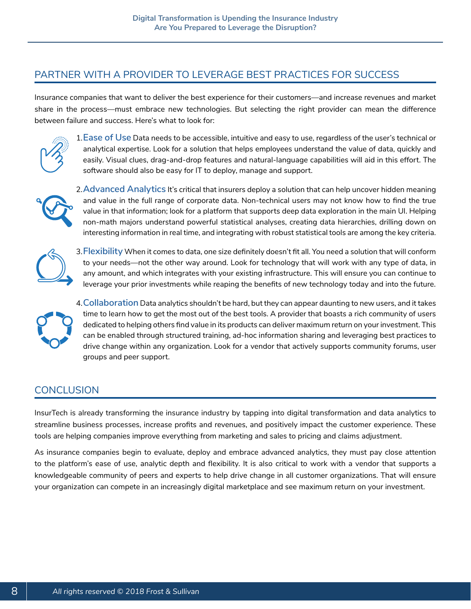## <span id="page-7-0"></span>PARTNER WITH A PROVIDER TO LEVERAGE BEST PRACTICES FOR SUCCESS

Insurance companies that want to deliver the best experience for their customers—and increase revenues and market share in the process—must embrace new technologies. But selecting the right provider can mean the difference between failure and success. Here's what to look for:



1.**Ease of Use** Data needs to be accessible, intuitive and easy to use, regardless of the user's technical or analytical expertise. Look for a solution that helps employees understand the value of data, quickly and easily. Visual clues, drag-and-drop features and natural-language capabilities will aid in this effort. The software should also be easy for IT to deploy, manage and support.



2.**Advanced Analytics** It's critical that insurers deploy a solution that can help uncover hidden meaning and value in the full range of corporate data. Non-technical users may not know how to find the true value in that information; look for a platform that supports deep data exploration in the main UI. Helping non-math majors understand powerful statistical analyses, creating data hierarchies, drilling down on interesting information in real time, and integrating with robust statistical tools are among the key criteria.



3.**Flexibility** When it comes to data, one size definitely doesn't fit all. You need a solution that will conform to your needs—not the other way around. Look for technology that will work with any type of data, in any amount, and which integrates with your existing infrastructure. This will ensure you can continue to leverage your prior investments while reaping the benefits of new technology today and into the future.



4.**Collaboration** Data analytics shouldn't be hard, but they can appear daunting to new users, and it takes time to learn how to get the most out of the best tools. A provider that boasts a rich community of users dedicated to helping others find value in its products can deliver maximum return on your investment. This can be enabled through structured training, ad-hoc information sharing and leveraging best practices to drive change within any organization. Look for a vendor that actively supports community forums, user groups and peer support.

### **CONCLUSION**

InsurTech is already transforming the insurance industry by tapping into digital transformation and data analytics to streamline business processes, increase profits and revenues, and positively impact the customer experience. These tools are helping companies improve everything from marketing and sales to pricing and claims adjustment.

As insurance companies begin to evaluate, deploy and embrace advanced analytics, they must pay close attention to the platform's ease of use, analytic depth and flexibility. It is also critical to work with a vendor that supports a knowledgeable community of peers and experts to help drive change in all customer organizations. That will ensure your organization can compete in an increasingly digital marketplace and see maximum return on your investment.